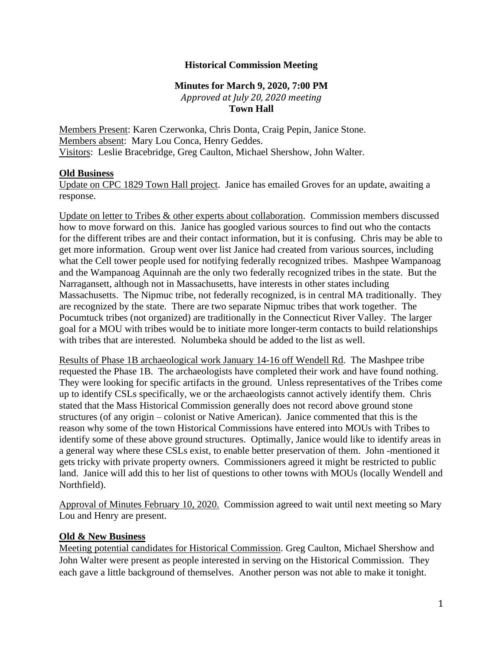## **Historical Commission Meeting**

## **Minutes for March 9, 2020, 7:00 PM** *Approved at July 20, 2020 meeting* **Town Hall**

Members Present: Karen Czerwonka, Chris Donta, Craig Pepin, Janice Stone. Members absent: Mary Lou Conca, Henry Geddes. Visitors: Leslie Bracebridge, Greg Caulton, Michael Shershow, John Walter.

## **Old Business**

Update on CPC 1829 Town Hall project. Janice has emailed Groves for an update, awaiting a response.

Update on letter to Tribes & other experts about collaboration. Commission members discussed how to move forward on this. Janice has googled various sources to find out who the contacts for the different tribes are and their contact information, but it is confusing. Chris may be able to get more information. Group went over list Janice had created from various sources, including what the Cell tower people used for notifying federally recognized tribes. Mashpee Wampanoag and the Wampanoag Aquinnah are the only two federally recognized tribes in the state. But the Narragansett, although not in Massachusetts, have interests in other states including Massachusetts. The Nipmuc tribe, not federally recognized, is in central MA traditionally. They are recognized by the state. There are two separate Nipmuc tribes that work together. The Pocumtuck tribes (not organized) are traditionally in the Connecticut River Valley. The larger goal for a MOU with tribes would be to initiate more longer-term contacts to build relationships with tribes that are interested. Nolumbeka should be added to the list as well.

Results of Phase 1B archaeological work January 14-16 off Wendell Rd. The Mashpee tribe requested the Phase 1B. The archaeologists have completed their work and have found nothing. They were looking for specific artifacts in the ground. Unless representatives of the Tribes come up to identify CSLs specifically, we or the archaeologists cannot actively identify them. Chris stated that the Mass Historical Commission generally does not record above ground stone structures (of any origin – colonist or Native American). Janice commented that this is the reason why some of the town Historical Commissions have entered into MOUs with Tribes to identify some of these above ground structures. Optimally, Janice would like to identify areas in a general way where these CSLs exist, to enable better preservation of them. John -mentioned it gets tricky with private property owners. Commissioners agreed it might be restricted to public land. Janice will add this to her list of questions to other towns with MOUs (locally Wendell and Northfield).

Approval of Minutes February 10, 2020. Commission agreed to wait until next meeting so Mary Lou and Henry are present.

## **Old & New Business**

Meeting potential candidates for Historical Commission. Greg Caulton, Michael Shershow and John Walter were present as people interested in serving on the Historical Commission. They each gave a little background of themselves. Another person was not able to make it tonight.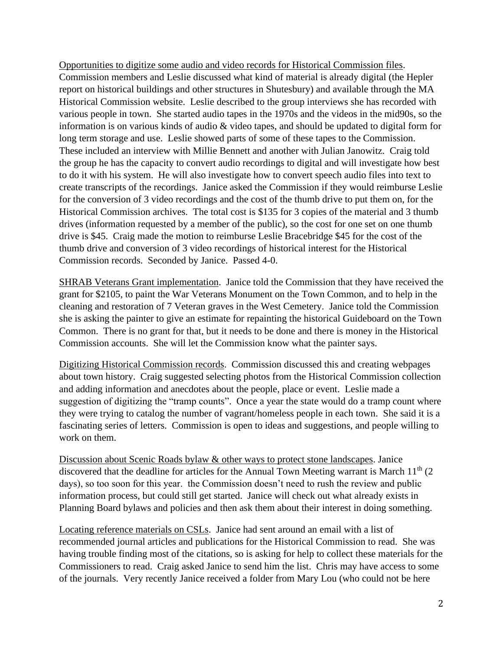Opportunities to digitize some audio and video records for Historical Commission files. Commission members and Leslie discussed what kind of material is already digital (the Hepler report on historical buildings and other structures in Shutesbury) and available through the MA Historical Commission website. Leslie described to the group interviews she has recorded with various people in town. She started audio tapes in the 1970s and the videos in the mid90s, so the information is on various kinds of audio & video tapes, and should be updated to digital form for long term storage and use. Leslie showed parts of some of these tapes to the Commission. These included an interview with Millie Bennett and another with Julian Janowitz. Craig told the group he has the capacity to convert audio recordings to digital and will investigate how best to do it with his system. He will also investigate how to convert speech audio files into text to create transcripts of the recordings. Janice asked the Commission if they would reimburse Leslie for the conversion of 3 video recordings and the cost of the thumb drive to put them on, for the Historical Commission archives. The total cost is \$135 for 3 copies of the material and 3 thumb drives (information requested by a member of the public), so the cost for one set on one thumb drive is \$45. Craig made the motion to reimburse Leslie Bracebridge \$45 for the cost of the thumb drive and conversion of 3 video recordings of historical interest for the Historical Commission records. Seconded by Janice. Passed 4-0.

SHRAB Veterans Grant implementation. Janice told the Commission that they have received the grant for \$2105, to paint the War Veterans Monument on the Town Common, and to help in the cleaning and restoration of 7 Veteran graves in the West Cemetery. Janice told the Commission she is asking the painter to give an estimate for repainting the historical Guideboard on the Town Common. There is no grant for that, but it needs to be done and there is money in the Historical Commission accounts. She will let the Commission know what the painter says.

Digitizing Historical Commission records. Commission discussed this and creating webpages about town history. Craig suggested selecting photos from the Historical Commission collection and adding information and anecdotes about the people, place or event. Leslie made a suggestion of digitizing the "tramp counts". Once a year the state would do a tramp count where they were trying to catalog the number of vagrant/homeless people in each town. She said it is a fascinating series of letters. Commission is open to ideas and suggestions, and people willing to work on them.

Discussion about Scenic Roads bylaw & other ways to protect stone landscapes. Janice discovered that the deadline for articles for the Annual Town Meeting warrant is March  $11<sup>th</sup>$  (2) days), so too soon for this year. the Commission doesn't need to rush the review and public information process, but could still get started. Janice will check out what already exists in Planning Board bylaws and policies and then ask them about their interest in doing something.

Locating reference materials on CSLs. Janice had sent around an email with a list of recommended journal articles and publications for the Historical Commission to read. She was having trouble finding most of the citations, so is asking for help to collect these materials for the Commissioners to read. Craig asked Janice to send him the list. Chris may have access to some of the journals. Very recently Janice received a folder from Mary Lou (who could not be here